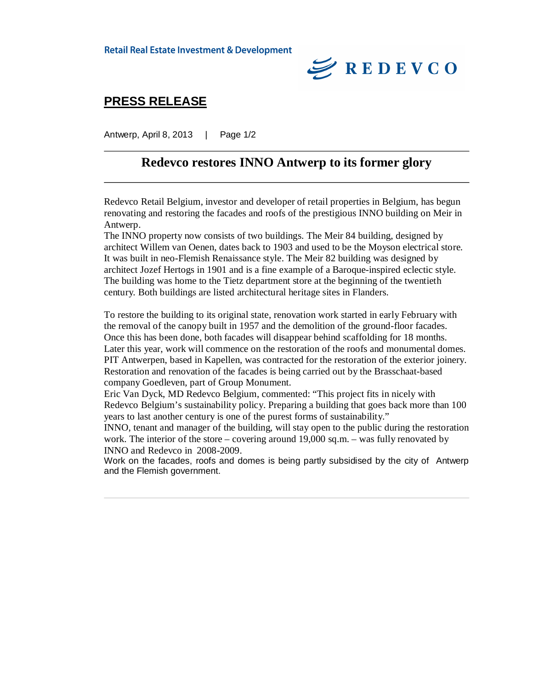**Retail Real Estate Investment & Development** 



## **PRESS RELEASE**

Antwerp, April 8, 2013 | Page 1/2

### **Redevco restores INNO Antwerp to its former glory**

Redevco Retail Belgium, investor and developer of retail properties in Belgium, has begun renovating and restoring the facades and roofs of the prestigious INNO building on Meir in Antwerp.

The INNO property now consists of two buildings. The Meir 84 building, designed by architect Willem van Oenen, dates back to 1903 and used to be the Moyson electrical store. It was built in neo-Flemish Renaissance style. The Meir 82 building was designed by architect Jozef Hertogs in 1901 and is a fine example of a Baroque-inspired eclectic style. The building was home to the Tietz department store at the beginning of the twentieth century. Both buildings are listed architectural heritage sites in Flanders.

To restore the building to its original state, renovation work started in early February with the removal of the canopy built in 1957 and the demolition of the ground-floor facades. Once this has been done, both facades will disappear behind scaffolding for 18 months. Later this year, work will commence on the restoration of the roofs and monumental domes. PIT Antwerpen, based in Kapellen, was contracted for the restoration of the exterior joinery. Restoration and renovation of the facades is being carried out by the Brasschaat-based company Goedleven, part of Group Monument.

Eric Van Dyck, MD Redevco Belgium, commented: "This project fits in nicely with Redevco Belgium's sustainability policy. Preparing a building that goes back more than 100 years to last another century is one of the purest forms of sustainability."

INNO, tenant and manager of the building, will stay open to the public during the restoration work. The interior of the store – covering around 19,000 sq.m. – was fully renovated by INNO and Redevco in 2008-2009.

Work on the facades, roofs and domes is being partly subsidised by the city of Antwerp and the Flemish government.